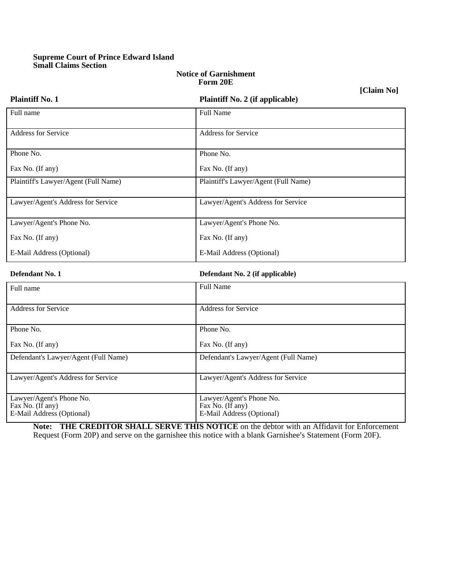# **Supreme Court of Prince Edward Island Small Claims Section**

**Plaintiff No. 1 Plaintiff No. 2 (if applicable)**

#### **Notice of Garnishment Form 20E**

**[Claim No]**

| Defendant No. 1                      | Defendant No. 2 (if applicable)      |  |
|--------------------------------------|--------------------------------------|--|
| E-Mail Address (Optional)            | E-Mail Address (Optional)            |  |
| Fax No. (If any)                     | Fax No. (If any)                     |  |
| Lawyer/Agent's Phone No.             | Lawyer/Agent's Phone No.             |  |
| Lawyer/Agent's Address for Service   | Lawyer/Agent's Address for Service   |  |
| Plaintiff's Lawyer/Agent (Full Name) | Plaintiff's Lawyer/Agent (Full Name) |  |
| Fax No. (If any)                     | Fax No. (If any)                     |  |
| Phone No.                            | Phone No.                            |  |
| <b>Address for Service</b>           | <b>Address for Service</b>           |  |
| Full name                            | Full Name                            |  |
|                                      |                                      |  |

| Full name                                                                 | <b>Full Name</b>                                                          |
|---------------------------------------------------------------------------|---------------------------------------------------------------------------|
| <b>Address for Service</b>                                                | <b>Address for Service</b>                                                |
| Phone No.                                                                 | Phone No.                                                                 |
| Fax No. (If any)                                                          | Fax No. (If any)                                                          |
| Defendant's Lawyer/Agent (Full Name)                                      | Defendant's Lawyer/Agent (Full Name)                                      |
| Lawyer/Agent's Address for Service                                        | Lawyer/Agent's Address for Service                                        |
| Lawyer/Agent's Phone No.<br>Fax No. (If any)<br>E-Mail Address (Optional) | Lawyer/Agent's Phone No.<br>Fax No. (If any)<br>E-Mail Address (Optional) |

**Note: THE CREDITOR SHALL SERVE THIS NOTICE** on the debtor with an Affidavit for Enforcement Request (Form 20P) and serve on the garnishee this notice with a blank Garnishee's Statement (Form 20F).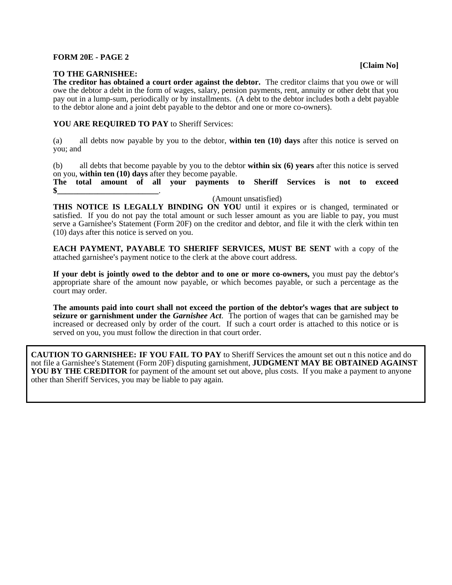## **FORM 20E - PAGE 2**

## **TO THE GARNISHEE:**

**The creditor has obtained a court order against the debtor.** The creditor claims that you owe or will owe the debtor a debt in the form of wages, salary, pension payments, rent, annuity or other debt that you pay out in a lump-sum, periodically or by installments. (A debt to the debtor includes both a debt payable to the debtor alone and a joint debt payable to the debtor and one or more co-owners).

## **YOU ARE REQUIRED TO PAY** to Sheriff Services:

(a) all debts now payable by you to the debtor, **within ten (10) days** after this notice is served on you; and

(b) all debts that become payable by you to the debtor **within six (6) years** after this notice is served on you, **within ten (10) days** after they become payable.

**The total amount of all your payments to Sheriff Services is not to exceed \$\_\_\_\_\_\_\_\_\_\_\_\_\_\_\_\_\_\_\_\_\_\_\_\_\_**.

(Amount unsatisfied)

**THIS NOTICE IS LEGALLY BINDING ON YOU** until it expires or is changed, terminated or satisfied. If you do not pay the total amount or such lesser amount as you are liable to pay, you must serve a Garnishee's Statement (Form 20F) on the creditor and debtor, and file it with the clerk within ten (10) days after this notice is served on you.

**EACH PAYMENT, PAYABLE TO SHERIFF SERVICES, MUST BE SENT** with a copy of the attached garnishee's payment notice to the clerk at the above court address.

**If your debt is jointly owed to the debtor and to one or more co-owners,** you must pay the debtor's appropriate share of the amount now payable, or which becomes payable, or such a percentage as the court may order.

The amounts paid into court shall not exceed the portion of the debtor's wages that are subject to **seizure or garnishment under the** *Garnishee Act*. The portion of wages that can be garnished may be increased or decreased only by order of the court. If such a court order is attached to this notice or is served on you, you must follow the direction in that court order.

**CAUTION TO GARNISHEE: IF YOU FAIL TO PAY** to Sheriff Services the amount set out n this notice and do not file a Garnishee's Statement (Form 20F) disputing garnishment, **JUDGMENT MAY BE OBTAINED AGAINST YOU BY THE CREDITOR** for payment of the amount set out above, plus costs. If you make a payment to anyone other than Sheriff Services, you may be liable to pay again.